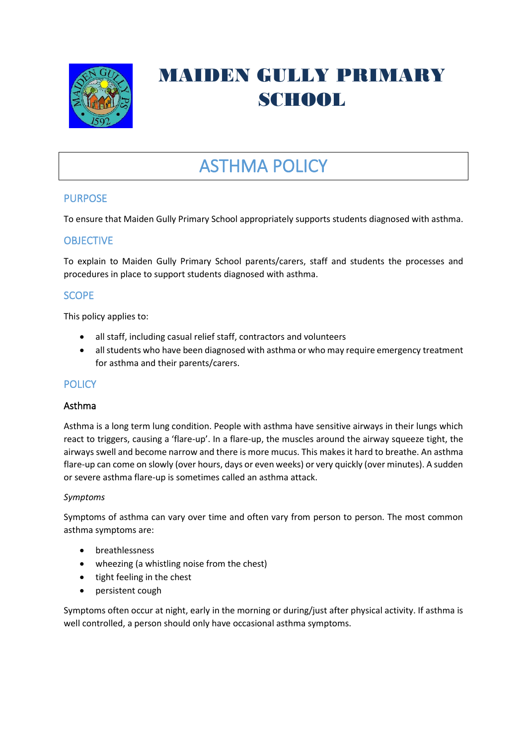

# MAIDEN GULLY PRIMARY SCHOOL

# ASTHMA POLICY

# PURPOSE

To ensure that Maiden Gully Primary School appropriately supports students diagnosed with asthma.

# **OBJECTIVE**

To explain to Maiden Gully Primary School parents/carers, staff and students the processes and procedures in place to support students diagnosed with asthma.

# **SCOPE**

This policy applies to:

- all staff, including casual relief staff, contractors and volunteers
- all students who have been diagnosed with asthma or who may require emergency treatment for asthma and their parents/carers.

## **POLICY**

#### Asthma

Asthma is a long term lung condition. People with asthma have sensitive airways in their lungs which react to triggers, causing a 'flare-up'. In a flare-up, the muscles around the airway squeeze tight, the airways swell and become narrow and there is more mucus. This makes it hard to breathe. An asthma flare-up can come on slowly (over hours, days or even weeks) or very quickly (over minutes). A sudden or severe asthma flare-up is sometimes called an asthma attack.

#### *Symptoms*

Symptoms of asthma can vary over time and often vary from person to person. The most common asthma symptoms are:

- breathlessness
- wheezing (a whistling noise from the chest)
- tight feeling in the chest
- persistent cough

Symptoms often occur at night, early in the morning or during/just after physical activity. If asthma is well controlled, a person should only have occasional asthma symptoms.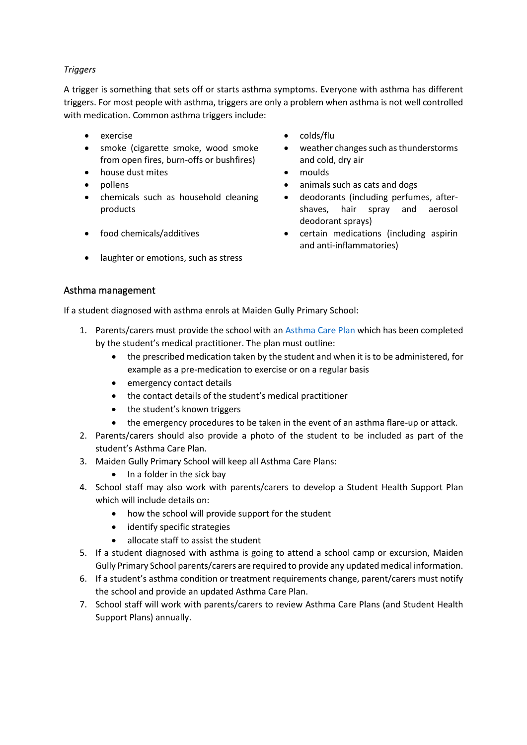## *Triggers*

A trigger is something that sets off or starts asthma symptoms. Everyone with asthma has different triggers. For most people with asthma, triggers are only a problem when asthma is not well controlled with medication. Common asthma triggers include:

- 
- smoke (cigarette smoke, wood smoke from open fires, burn-offs or bushfires)
- house dust mites moulds
- 
- chemicals such as household cleaning products
- 
- laughter or emotions, such as stress
- exercise colds/flu
	- weather changes such as thunderstorms and cold, dry air
	-
- pollens animals such as cats and dogs
	- deodorants (including perfumes, aftershaves, hair spray and aerosol deodorant sprays)
- food chemicals/additives certain medications (including aspirin and anti-inflammatories)

## Asthma management

If a student diagnosed with asthma enrols at Maiden Gully Primary School:

- 1. Parents/carers must provide the school with an [Asthma Care](http://www.education.vic.gov.au/school/principals/spag/health/Documents/AsthmaCarePlan.pdf) Plan which has been completed by the student's medical practitioner. The plan must outline:
	- the prescribed medication taken by the student and when it is to be administered, for example as a pre-medication to exercise or on a regular basis
	- emergency contact details
	- the contact details of the student's medical practitioner
	- the student's known triggers
	- the emergency procedures to be taken in the event of an asthma flare-up or attack.
- 2. Parents/carers should also provide a photo of the student to be included as part of the student's Asthma Care Plan.
- 3. Maiden Gully Primary School will keep all Asthma Care Plans:
	- In a folder in the sick bay
- 4. School staff may also work with parents/carers to develop a Student Health Support Plan which will include details on:
	- how the school will provide support for the student
	- identify specific strategies
	- allocate staff to assist the student
- 5. If a student diagnosed with asthma is going to attend a school camp or excursion, Maiden Gully Primary School parents/carers are required to provide any updated medical information.
- 6. If a student's asthma condition or treatment requirements change, parent/carers must notify the school and provide an updated Asthma Care Plan.
- 7. School staff will work with parents/carers to review Asthma Care Plans (and Student Health Support Plans) annually.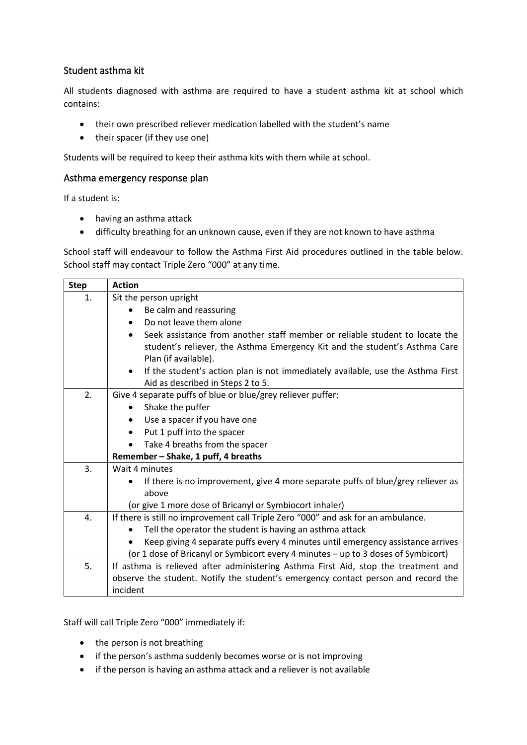# Student asthma kit

All students diagnosed with asthma are required to have a student asthma kit at school which contains:

- their own prescribed reliever medication labelled with the student's name
- their spacer (if they use one)

Students will be required to keep their asthma kits with them while at school.

#### Asthma emergency response plan

If a student is:

- having an asthma attack
- difficulty breathing for an unknown cause, even if they are not known to have asthma

School staff will endeavour to follow the Asthma First Aid procedures outlined in the table below. School staff may contact Triple Zero "000" at any time.

| <b>Step</b> | <b>Action</b>                                                                                |  |  |  |  |  |
|-------------|----------------------------------------------------------------------------------------------|--|--|--|--|--|
| 1.          | Sit the person upright                                                                       |  |  |  |  |  |
|             | Be calm and reassuring<br>$\bullet$                                                          |  |  |  |  |  |
|             | Do not leave them alone<br>$\bullet$                                                         |  |  |  |  |  |
|             | Seek assistance from another staff member or reliable student to locate the                  |  |  |  |  |  |
|             | student's reliever, the Asthma Emergency Kit and the student's Asthma Care                   |  |  |  |  |  |
|             | Plan (if available).                                                                         |  |  |  |  |  |
|             | If the student's action plan is not immediately available, use the Asthma First<br>$\bullet$ |  |  |  |  |  |
|             | Aid as described in Steps 2 to 5.                                                            |  |  |  |  |  |
| 2.          | Give 4 separate puffs of blue or blue/grey reliever puffer:                                  |  |  |  |  |  |
|             | Shake the puffer<br>٠                                                                        |  |  |  |  |  |
|             | Use a spacer if you have one                                                                 |  |  |  |  |  |
|             | Put 1 puff into the spacer<br>$\bullet$                                                      |  |  |  |  |  |
|             | Take 4 breaths from the spacer                                                               |  |  |  |  |  |
|             | Remember - Shake, 1 puff, 4 breaths                                                          |  |  |  |  |  |
| 3.          | Wait 4 minutes                                                                               |  |  |  |  |  |
|             | If there is no improvement, give 4 more separate puffs of blue/grey reliever as<br>$\bullet$ |  |  |  |  |  |
|             | above                                                                                        |  |  |  |  |  |
|             | (or give 1 more dose of Bricanyl or Symbiocort inhaler)                                      |  |  |  |  |  |
| 4.          | If there is still no improvement call Triple Zero "000" and ask for an ambulance.            |  |  |  |  |  |
|             | Tell the operator the student is having an asthma attack                                     |  |  |  |  |  |
|             | Keep giving 4 separate puffs every 4 minutes until emergency assistance arrives              |  |  |  |  |  |
|             | (or 1 dose of Bricanyl or Symbicort every 4 minutes - up to 3 doses of Symbicort)            |  |  |  |  |  |
| 5.          | If asthma is relieved after administering Asthma First Aid, stop the treatment and           |  |  |  |  |  |
|             | observe the student. Notify the student's emergency contact person and record the            |  |  |  |  |  |
|             | incident                                                                                     |  |  |  |  |  |

Staff will call Triple Zero "000" immediately if:

- the person is not breathing
- if the person's asthma suddenly becomes worse or is not improving
- if the person is having an asthma attack and a reliever is not available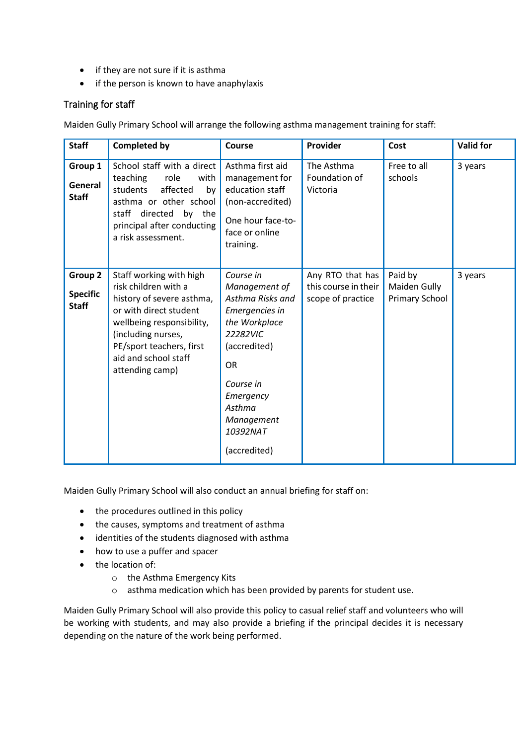- if they are not sure if it is asthma
- if the person is known to have anaphylaxis

## Training for staff

Maiden Gully Primary School will arrange the following asthma management training for staff:

| <b>Staff</b>                               | <b>Completed by</b>                                                                                                                                                                                                              | Course                                                                                                                                                                                                   | Provider                                                      | Cost                                             | <b>Valid for</b> |
|--------------------------------------------|----------------------------------------------------------------------------------------------------------------------------------------------------------------------------------------------------------------------------------|----------------------------------------------------------------------------------------------------------------------------------------------------------------------------------------------------------|---------------------------------------------------------------|--------------------------------------------------|------------------|
| Group 1<br>General<br><b>Staff</b>         | School staff with a direct<br>teaching<br>role<br>with<br>students<br>affected<br>by<br>asthma or other school<br>staff directed by the<br>principal after conducting<br>a risk assessment.                                      | Asthma first aid<br>management for<br>education staff<br>(non-accredited)<br>One hour face-to-<br>face or online<br>training.                                                                            | The Asthma<br>Foundation of<br>Victoria                       | Free to all<br>schools                           | 3 years          |
| Group 2<br><b>Specific</b><br><b>Staff</b> | Staff working with high<br>risk children with a<br>history of severe asthma,<br>or with direct student<br>wellbeing responsibility,<br>(including nurses,<br>PE/sport teachers, first<br>aid and school staff<br>attending camp) | Course in<br>Management of<br>Asthma Risks and<br>Emergencies in<br>the Workplace<br>22282VIC<br>(accredited)<br><b>OR</b><br>Course in<br>Emergency<br>Asthma<br>Management<br>10392NAT<br>(accredited) | Any RTO that has<br>this course in their<br>scope of practice | Paid by<br>Maiden Gully<br><b>Primary School</b> | 3 years          |

Maiden Gully Primary School will also conduct an annual briefing for staff on:

- the procedures outlined in this policy
- the causes, symptoms and treatment of asthma
- identities of the students diagnosed with asthma
- how to use a puffer and spacer
- the location of:
	- o the Asthma Emergency Kits
	- o asthma medication which has been provided by parents for student use.

Maiden Gully Primary School will also provide this policy to casual relief staff and volunteers who will be working with students, and may also provide a briefing if the principal decides it is necessary depending on the nature of the work being performed.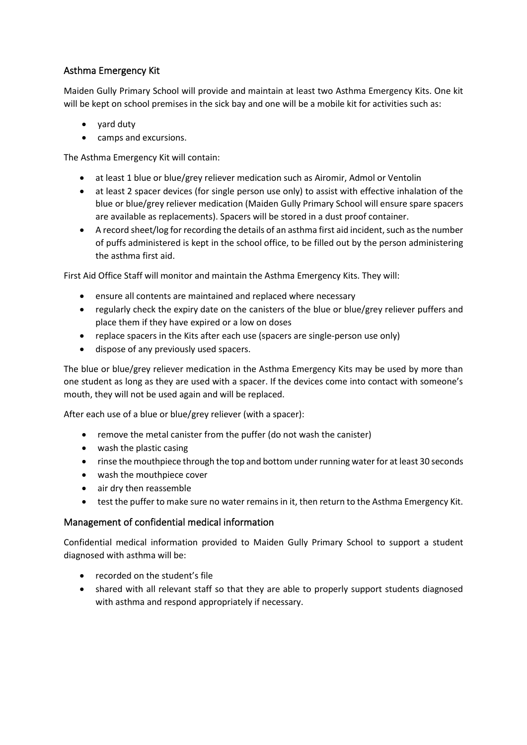# Asthma Emergency Kit

Maiden Gully Primary School will provide and maintain at least two Asthma Emergency Kits. One kit will be kept on school premises in the sick bay and one will be a mobile kit for activities such as:

- yard duty
- camps and excursions.

The Asthma Emergency Kit will contain:

- at least 1 blue or blue/grey reliever medication such as Airomir, Admol or Ventolin
- at least 2 spacer devices (for single person use only) to assist with effective inhalation of the blue or blue/grey reliever medication (Maiden Gully Primary School will ensure spare spacers are available as replacements). Spacers will be stored in a dust proof container.
- A record sheet/log for recording the details of an asthma first aid incident, such as the number of puffs administered is kept in the school office, to be filled out by the person administering the asthma first aid.

First Aid Office Staff will monitor and maintain the Asthma Emergency Kits. They will:

- ensure all contents are maintained and replaced where necessary
- regularly check the expiry date on the canisters of the blue or blue/grey reliever puffers and place them if they have expired or a low on doses
- replace spacers in the Kits after each use (spacers are single-person use only)
- dispose of any previously used spacers.

The blue or blue/grey reliever medication in the Asthma Emergency Kits may be used by more than one student as long as they are used with a spacer. If the devices come into contact with someone's mouth, they will not be used again and will be replaced.

After each use of a blue or blue/grey reliever (with a spacer):

- remove the metal canister from the puffer (do not wash the canister)
- wash the plastic casing
- rinse the mouthpiece through the top and bottom under running water for at least 30 seconds
- wash the mouthpiece cover
- air dry then reassemble
- test the puffer to make sure no water remains in it, then return to the Asthma Emergency Kit.

#### Management of confidential medical information

Confidential medical information provided to Maiden Gully Primary School to support a student diagnosed with asthma will be:

- recorded on the student's file
- shared with all relevant staff so that they are able to properly support students diagnosed with asthma and respond appropriately if necessary.